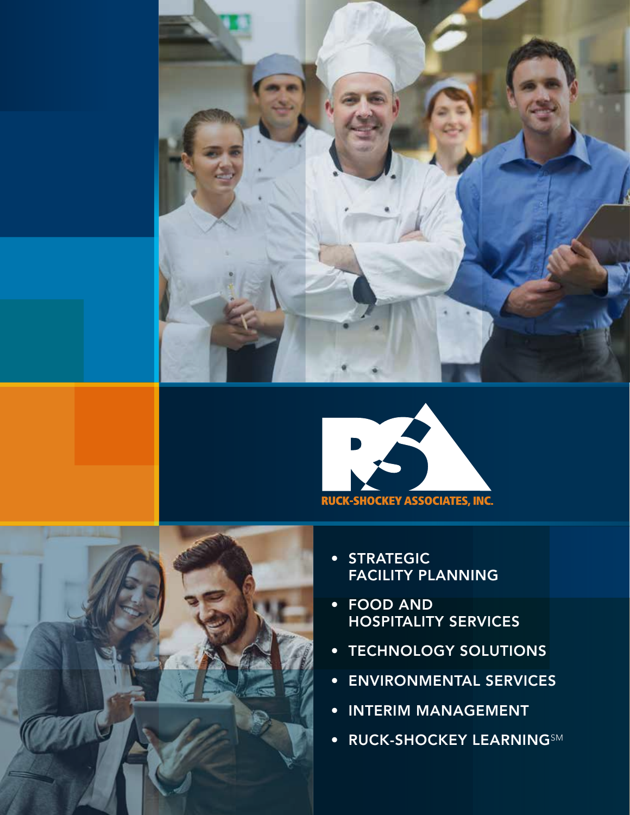





- STRATEGIC FACILITY PLANNING
- FOOD AND HOSPITALITY SERVICES
- TECHNOLOGY SOLUTIONS
- ENVIRONMENTAL SERVICES
- INTERIM MANAGEMENT
- RUCK-SHOCKEY LEARNINGSM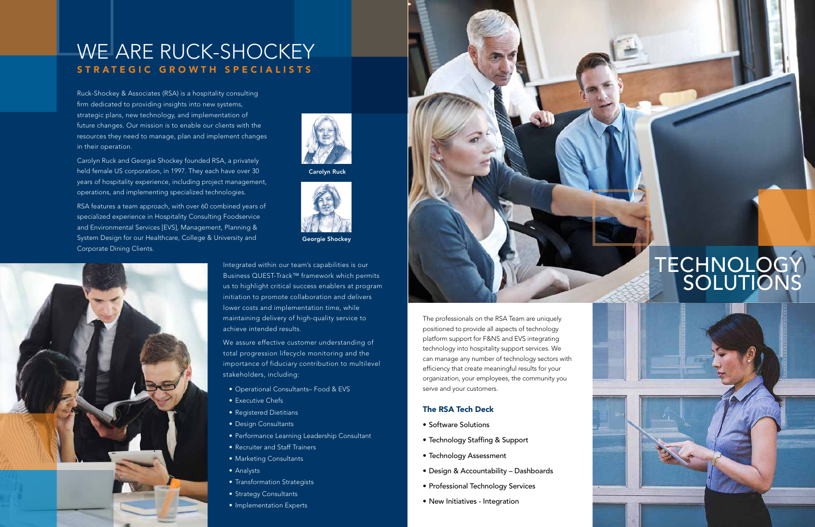Carolyn Ruck



Georgie Shockey

Integrated within our team's capabilities is our Business QUEST-Track™ framework which permits us to highlight critical success enablers at program initiation to promote collaboration and delivers lower costs and implementation time, while maintaining delivery of high-quality service to achieve intended results.

We assure effective customer understanding of total progression lifecycle monitoring and the importance of fiduciary contribution to multilevel stakeholders, including:

- Operational Consultants– Food & EVS
- Executive Chefs
- Registered Dietitians
- Design Consultants
- Performance Learning Leadership Consultant
- Recruiter and Staff Trainers
- Marketing Consultants
- Analysts
- Transformation Strategists
- Strategy Consultants
- Implementation Experts



Ruck-Shockey & Associates (RSA) is a hospitality consulting firm dedicated to providing insights into new systems, strategic plans, new technology, and implementation of future changes. Our mission is to enable our clients with the resources they need to manage, plan and implement changes in their operation.

## WE ARE RUCK-SHOCKEY STRATEGIC GROWTH SPECIALISTS

Carolyn Ruck and Georgie Shockey founded RSA, a privately held female US corporation, in 1997. They each have over 30 years of hospitality experience, including project management, operations, and implementing specialized technologies.

RSA features a team approach, with over 60 combined years of specialized experience in Hospitality Consulting Foodservice and Environmental Services [EVS], Management, Planning & System Design for our Healthcare, College & University and Corporate Dining Clients.



The professionals on the RSA Team are uniquely positioned to provide all aspects of technology platform support for F&NS and EVS integrating technology into hospitality support services. We can manage any number of technology sectors with efficiency that create meaningful results for your organization, your employees, the community you serve and your customers.

### The RSA Tech Deck

- Software Solutions
- Technology Staffing & Support
- Technology Assessment
- Design & Accountability Dashboards
- Professional Technology Services
- New Initiatives Integration



# TECHNOLOGY SOLUTIONS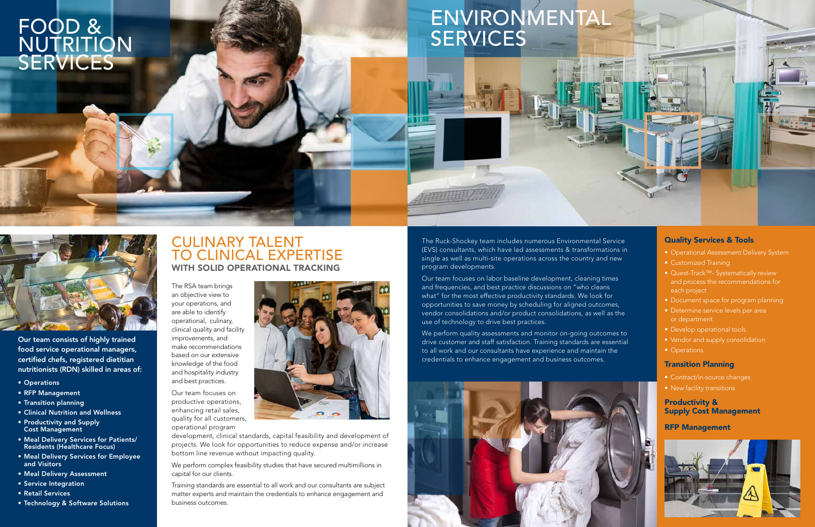The RSA team brings an objective view to your operations, and are able to identify operational, culinary, clinical quality and facility improvements, and make recommendations based on our extensive knowledge of the food and hospitality industry and best practices.

Our team focuses on productive operations, enhancing retail sales, quality for all customers, operational program

We perform complex feasibility studies that have secured multimillions in capital for our clients.

# FOOD & NUTRITION **SERVICES**

# **SERVICES**

development, clinical standards, capital feasibility and development of projects. We look for opportunities to reduce expense and/or increase bottom line revenue without impacting quality.

Training standards are essential to all work and our consultants are subject matter experts and maintain the credentials to enhance engagement and business outcomes.



### CULINARY TALENT TO CLINICAL EXPERTISE WITH SOLID OPERATIONAL TRACKING

We perform quality assessments and monitor on-going outcomes to drive customer and staff satisfaction. Training standards are essential to all work and our consultants have experience and maintain the credentials to enhance engagement and business outcomes.







The Ruck-Shockey team includes numerous Environmental Service (EVS) consultants, which have led assessments & transformations in single as well as multi-site operations across the country and new program developments.

Our team focuses on labor baseline development, cleaning times and frequencies, and best practice discussions on "who cleans what" for the most effective productivity standards. We look for opportunities to save money by scheduling for aligned outcomes, vendor consolidations and/or product consolidations, as well as the use of technology to drive best practices.

### Quality Services & Tools

- Operational Assessment Delivery System
- Customized Training
- Quest-Track™- Systematically review and process the recommendations for each project
- Document space for program planning
- Determine service levels per area or department
- Develop operational tools
- Vendor and supply consolidation
- Operations

#### Transition Planning

- Contract/in-source changes
- New facility transitions

#### Productivity & Supply Cost Management

#### RFP Management



Our team consists of highly trained food service operational managers, certified chefs, registered dietitian nutritionists (RDN) skilled in areas of:

- Operations
- RFP Management
- Transition planning
- Clinical Nutrition and Wellness
- Productivity and Supply Cost Management
- Meal Delivery Services for Patients/ Residents (Healthcare Focus)
- Meal Delivery Services for Employee and Visitors
- Meal Delivery Assessment
- Service Integration
- Retail Services
- Technology & Software Solutions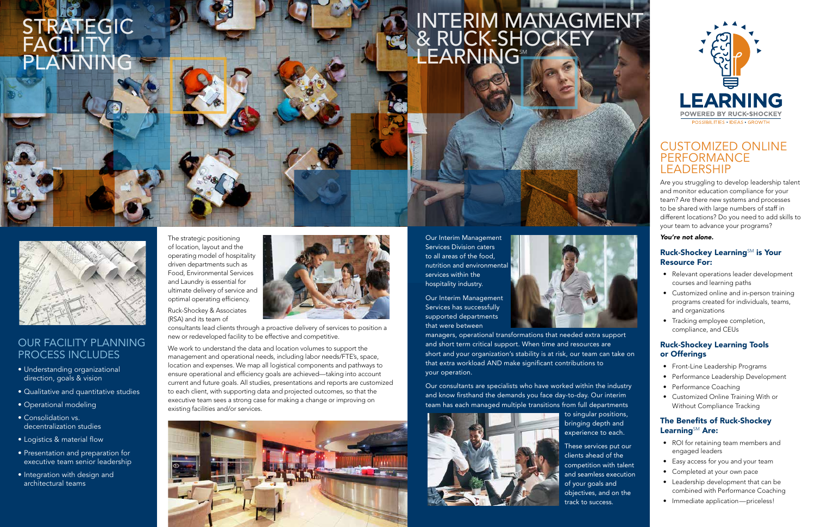The strategic positioning of location, layout and the operating model of hospitality driven departments such as Food, Environmental Services and Laundry is essential for ultimate delivery of service and optimal operating efficiency.

Ruck-Shockey & Associates (RSA) and its team of

consultants lead clients through a proactive delivery of services to position a new or redeveloped facility to be effective and competitive.

# INTERIM MANAGMENT & RUCK-SHOCKEY LEARNING



We work to understand the data and location volumes to support the management and operational needs, including labor needs/FTE's, space, location and expenses. We map all logistical components and pathways to ensure operational and efficiency goals are achieved—taking into account current and future goals. All studies, presentations and reports are customized to each client, with supporting data and projected outcomes, so that the executive team sees a strong case for making a change or improving on existing facilities and/or services.



# STRATEGIC FACILITY PLANNING

### OUR FACILITY PLANNING PROCESS INCLUDES

- Understanding organizational direction, goals & vision
- Qualitative and quantitative studies
- Operational modeling
- Consolidation vs. decentralization studies
- Logistics & material flow
- Presentation and preparation for executive team senior leadership
- Integration with design and architectural teams

### **Ruck-Shockey LearningSM** is Your Resource For:

Our Interim Management Services Division caters to all areas of the food, nutrition and environmental services within the hospitality industry.

### The Benefits of Ruck-Shockey Learning<sup>SM</sup> Are:









managers, operational transformations that needed extra support and short term critical support. When time and resources are short and your organization's stability is at risk, our team can take on that extra workload AND make significant contributions to your operation.

Our consultants are specialists who have worked within the industry and know firsthand the demands you face day-to-day. Our interim team has each managed multiple transitions from full departments to singular positions, bringing depth and experience to each.



These services put our clients ahead of the competition with talent and seamless execution of your goals and objectives, and on the track to success.

### CUSTOMIZED ONLINE PERFORMANCE LEADERSHIP

Are you struggling to develop leadership talent and monitor education compliance for your team? Are there new systems and processes to be shared with large numbers of staff in different locations? Do you need to add skills to your team to advance your programs?

### *You're not alone.*

- Relevant operations leader development courses and learning paths
- Customized online and in-person training programs created for individuals, teams, and organizations
- Tracking employee completion, compliance, and CEUs

### Ruck-Shockey Learning Tools or Offerings

- Front-Line Leadership Programs
- Performance Leadership Development
- Performance Coaching
- Customized Online Training With or Without Compliance Tracking

- ROI for retaining team members and engaged leaders
- Easy access for you and your team
- Completed at your own pace
- Leadership development that can be combined with Performance Coaching
- Immediate application—priceless!